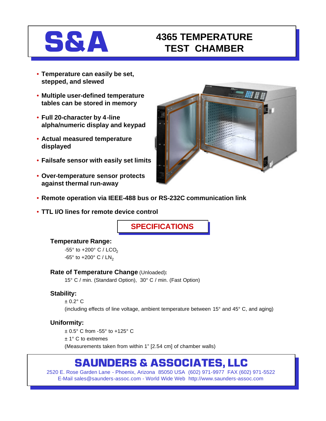# **S&A** 4365 TEMPERATURE **TEST CHAMBER**

- **Temperature can easily be set, stepped, and slewed**
- **Multiple user-defined temperature tables can be stored in memory**
- **Full 20-character by 4-line alpha/numeric display and keypad**
- **Actual measured temperature displayed**
- **Failsafe sensor with easily set limits**
- **Over-temperature sensor protects against thermal run-away**



- **Remote operation via IEEE-488 bus or RS-232C communication link**
- **TTL I/O lines for remote device control**

**SPECIFICATIONS**

# **Temperature Range:**

-55 $^{\circ}$  to +200 $^{\circ}$  C / LCO<sub>2</sub> -65 $^{\circ}$  to +200 $^{\circ}$  C / LN<sub>2</sub>

# **Rate of Temperature Change** (Unloaded)**:**

15° C / min. (Standard Option), 30° C / min. (Fast Option)

# **Stability:**

 $± 0.2° C$ (including effects of line voltage, ambient temperature between 15° and 45° C, and aging)

# **Uniformity:**

± 0.5° C from -55° to +125° C ± 1° C to extremes (Measurements taken from within 1" [2.54 cm] of chamber walls)

# **SAUNDERS & ASSOCIATES, LLC**

2520 E. Rose Garden Lane - Phoenix, Arizona 85050 USA (602) 971-9977 FAX (602) 971-5522 E-Mail sales@saunders-assoc.com - World Wide Web http://www.saunders-assoc.com